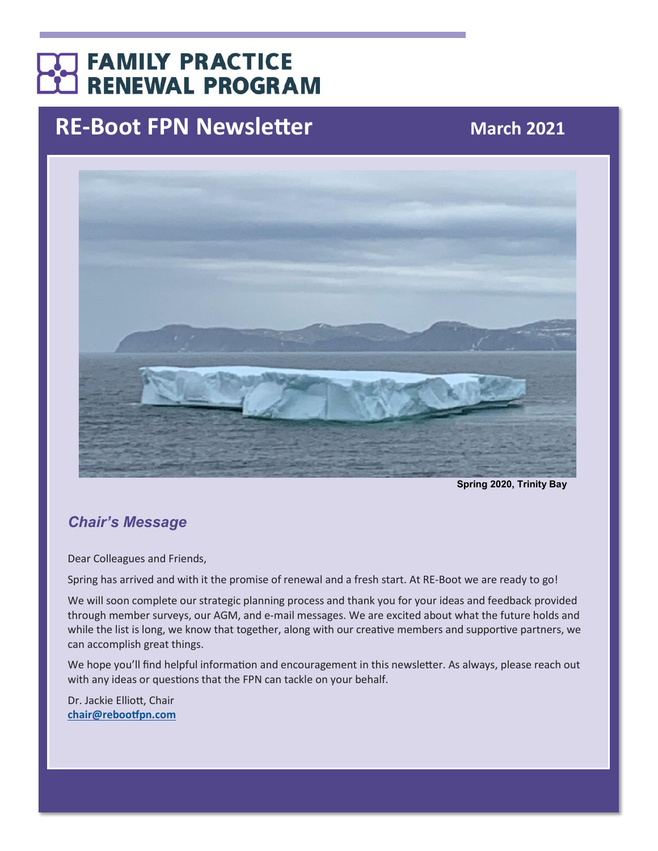# **FAMILY PRACTICE RENEWAL PROGRAM**

# **RE-Boot FPN Newsletter March 2021**



**Spring 2020, Trinity Bay**

#### *Chair's Message*

Dear Colleagues and Friends,

Spring has arrived and with it the promise of renewal and a fresh start. At RE-Boot we are ready to go!

We will soon complete our strategic planning process and thank you for your ideas and feedback provided through member surveys, our AGM, and e-mail messages. We are excited about what the future holds and while the list is long, we know that together, along with our creative members and supportive partners, we can accomplish great things.

We hope you'll find helpful information and encouragement in this newsletter. As always, please reach out with any ideas or questions that the FPN can tackle on your behalf.

Dr. Jackie Elliott, Chair **[chair@rebootfpn.com](mailto:chair@rebootfpn.com)**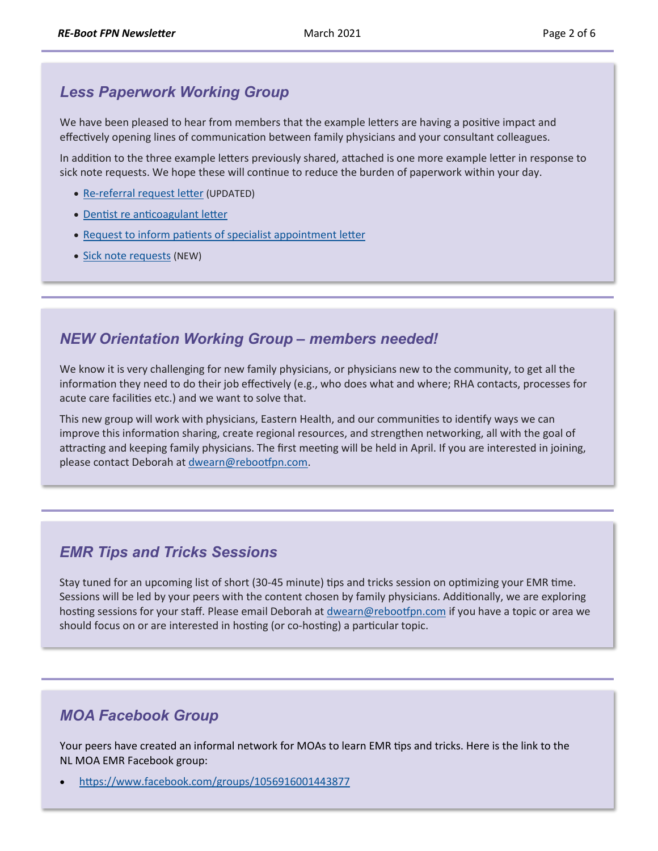### *Less Paperwork Working Group*

We have been pleased to hear from members that the example letters are having a positive impact and effectively opening lines of communication between family physicians and your consultant colleagues.

In addition to the three example letters previously shared, attached is one more example letter in response to sick note requests. We hope these will continue to reduce the burden of paperwork within your day.

- Re-[referral request letter](http://familypracticerenewalnl.ca/wp-content/uploads/2021/03/2020.12.02-EXAMPLE-Re-referral-request.pdf) (UPDATED)
- [Dentist re anticoagulant letter](http://familypracticerenewalnl.ca/wp-content/uploads/2020/12/2020.12.02_EXAMPLE_Dentist_re_anticoagulant.pdf)
- [Request to inform patients of specialist appointment letter](http://familypracticerenewalnl.ca/wp-content/uploads/2020/12/2020.12.02_EXAMPLE_Request_to_inform_patient_of_specialist_appt.pdf)
- [Sick note requests](http://familypracticerenewalnl.ca/wp-content/uploads/2021/03/2021.03.16_EXAMPLE_letter_Sick_Note.pdf) (NEW)

#### *NEW Orientation Working Group – members needed!*

We know it is very challenging for new family physicians, or physicians new to the community, to get all the information they need to do their job effectively (e.g., who does what and where; RHA contacts, processes for acute care facilities etc.) and we want to solve that.

This new group will work with physicians, Eastern Health, and our communities to identify ways we can improve this information sharing, create regional resources, and strengthen networking, all with the goal of attracting and keeping family physicians. The first meeting will be held in April. If you are interested in joining, please contact Deborah at [dwearn@rebootfpn.com.](mailto:dwearn@rebootfpn.com?subject=Orientation%20Working%20Group)

#### *EMR Tips and Tricks Sessions*

Stay tuned for an upcoming list of short (30-45 minute) tips and tricks session on optimizing your EMR time. Sessions will be led by your peers with the content chosen by family physicians. Additionally, we are exploring hosting sessions for your staff. Please email Deborah at [dwearn@rebootfpn.com](mailto:dwearn@rebootfpn.com?subject=EMR%20Tips%20and%20Tricks%20Sessions) if you have a topic or area we should focus on or are interested in hosting (or co-hosting) a particular topic.

#### *MOA Facebook Group*

Your peers have created an informal network for MOAs to learn EMR tips and tricks. Here is the link to the NL MOA EMR Facebook group:

• <https://www.facebook.com/groups/1056916001443877>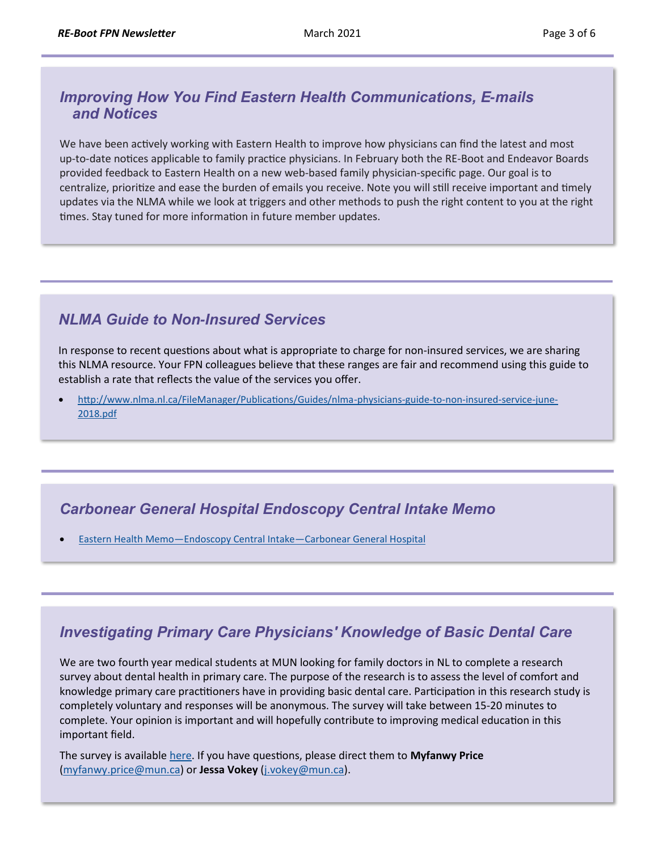#### *Improving How You Find Eastern Health Communications, E-mails and Notices*

We have been actively working with Eastern Health to improve how physicians can find the latest and most up-to-date notices applicable to family practice physicians. In February both the RE-Boot and Endeavor Boards provided feedback to Eastern Health on a new web-based family physician-specific page. Our goal is to centralize, prioritize and ease the burden of emails you receive. Note you will still receive important and timely updates via the NLMA while we look at triggers and other methods to push the right content to you at the right times. Stay tuned for more information in future member updates.

# *NLMA Guide to Non-Insured Services*

In response to recent questions about what is appropriate to charge for non-insured services, we are sharing this NLMA resource. Your FPN colleagues believe that these ranges are fair and recommend using this guide to establish a rate that reflects the value of the services you offer.

• [http://www.nlma.nl.ca/FileManager/Publications/Guides/nlma](http://www.nlma.nl.ca/FileManager/Publications/Guides/nlma-physicians-guide-to-non-insured-service-june-2018.pdf)-physicians-guide-to-non-insured-service-june-[2018.pdf](http://www.nlma.nl.ca/FileManager/Publications/Guides/nlma-physicians-guide-to-non-insured-service-june-2018.pdf)

# *Carbonear General Hospital Endoscopy Central Intake Memo*

• [Eastern Health Memo—Endoscopy Central Intake—Carbonear General Hospital](http://familypracticerenewalnl.ca/wp-content/uploads/2021/03/2021.03.12_Eastern_Health_Memo_Endoscopy_Central_Intake_Carbonear_General_Hospital.pdf)

# *Investigating Primary Care Physicians' Knowledge of Basic Dental Care*

We are two fourth year medical students at MUN looking for family doctors in NL to complete a research survey about dental health in primary care. The purpose of the research is to assess the level of comfort and knowledge primary care practitioners have in providing basic dental care. Participation in this research study is completely voluntary and responses will be anonymous. The survey will take between 15-20 minutes to complete. Your opinion is important and will hopefully contribute to improving medical education in this important field.

The survey is available [here.](https://mun.az1.qualtrics.com/jfe/form/SV_bftd705eJgbcGs6) If you have questions, please direct them to **Myfanwy Price**  ([myfanwy.price@mun.ca\)](mailto:myfanwy.price@mun.ca?subject=Investigating%20Primary%20Care%20Physicians) or **Jessa Vokey** ([j.vokey@mun.ca\).](mailto:j.vokey@mun.ca?subject=Investigating%20Primary%20Care%20Physicians)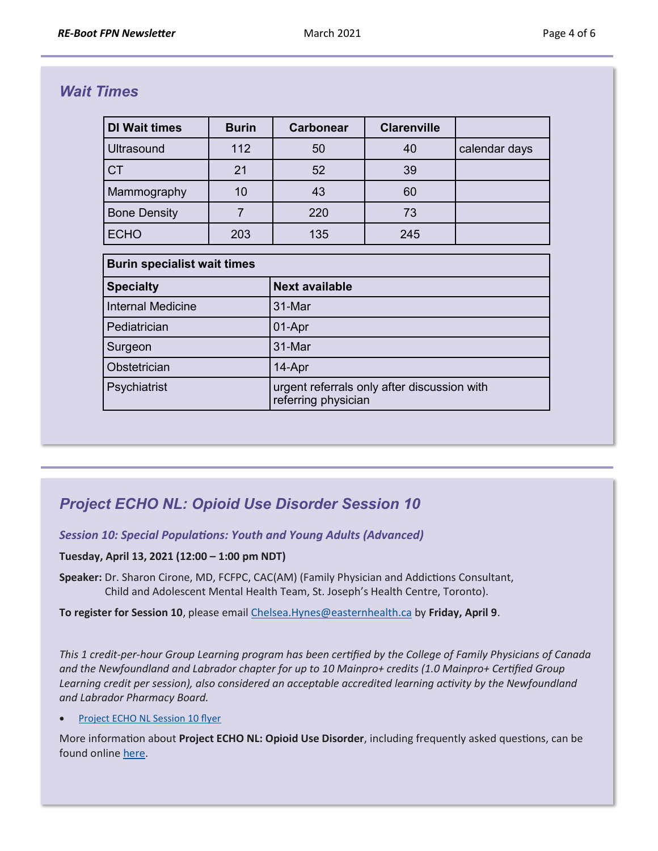#### *Wait Times*

| <b>DI Wait times</b> | <b>Burin</b> | <b>Carbonear</b> | <b>Clarenville</b> |               |
|----------------------|--------------|------------------|--------------------|---------------|
| <b>Ultrasound</b>    | 112          | 50               | 40                 | calendar days |
| <b>CT</b>            | 21           | 52               | 39                 |               |
| Mammography          | 10           | 43               | 60                 |               |
| <b>Bone Density</b>  |              | 220              | 73                 |               |
| <b>ECHO</b>          | 203          | 135              | 245                |               |

| <b>Burin specialist wait times</b> |                                                                    |  |
|------------------------------------|--------------------------------------------------------------------|--|
| <b>Specialty</b>                   | <b>Next available</b>                                              |  |
| <b>Internal Medicine</b>           | 31-Mar                                                             |  |
| Pediatrician                       | 01-Apr                                                             |  |
| Surgeon                            | 31-Mar                                                             |  |
| Obstetrician                       | 14-Apr                                                             |  |
| Psychiatrist                       | urgent referrals only after discussion with<br>referring physician |  |

# *Project ECHO NL: Opioid Use Disorder Session 10*

*Session 10: Special Populations: Youth and Young Adults (Advanced)*

#### **Tuesday, April 13, 2021 (12:00 – 1:00 pm NDT)**

**Speaker:** Dr. Sharon Cirone, MD, FCFPC, CAC(AM) (Family Physician and Addictions Consultant, Child and Adolescent Mental Health Team, St. Joseph's Health Centre, Toronto).

**To register for Session 10**, please email [Chelsea.Hynes@easternhealth.ca](mailto:Chelsea.Hynes@easternhealth.ca?subject=Project%20ECHO%20NL:%20Session%2010%20-%20Special%20Populations:%20Youth%20and%20Young%20Adults%20(Advanced)%20-%20April%2013/21) by **Friday, April 9**.

*This 1 credit-per-hour Group Learning program has been certified by the College of Family Physicians of Canada and the Newfoundland and Labrador chapter for up to 10 Mainpro+ credits (1.0 Mainpro+ Certified Group Learning credit per session), also considered an acceptable accredited learning activity by the Newfoundland and Labrador Pharmacy Board.* 

• [Project ECHO NL Session 10 flyer](https://mha.easternhealth.ca/wp-content/uploads/sites/7/2021/03/Project_ECHO_NL_OUD_Session_10_Flyer.pdf)

More information about **Project ECHO NL: Opioid Use Disorder**, including frequently asked questions, can be found online [here.](https://mha.easternhealth.ca/adults/opioid-treatment-and-naloxone/echo/)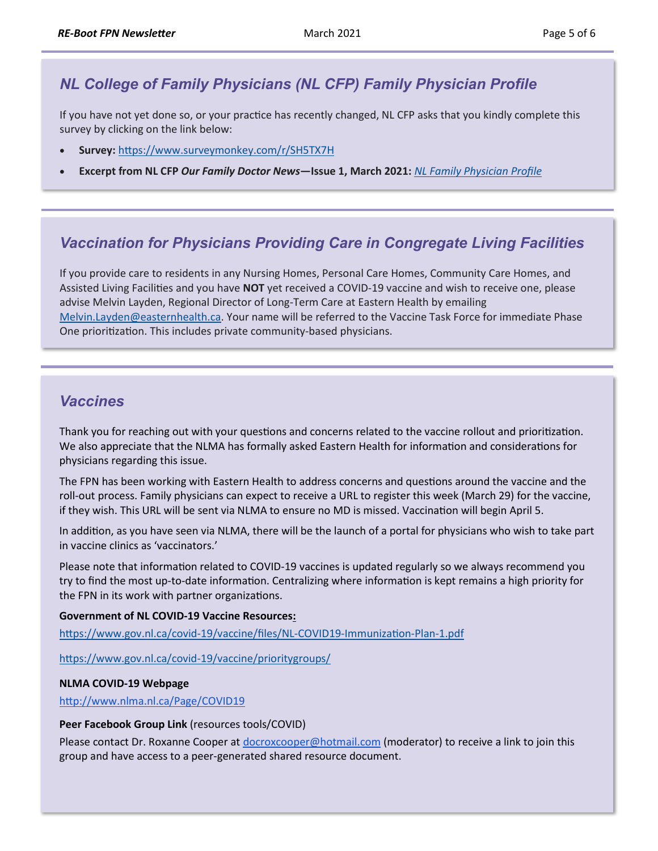# *NL College of Family Physicians (NL CFP) Family Physician Profile*

If you have not yet done so, or your practice has recently changed, NL CFP asks that you kindly complete this survey by clicking on the link below:

- **Survey:** <https://www.surveymonkey.com/r/SH5TX7H>
- **Excerpt from NL CFP** *Our Family Doctor News***—Issue 1, March 2021:** *[NL Family Physician Profile](http://familypracticerenewalnl.ca/wp-content/uploads/2021/03/2021.03.09_Our_Family_Doctor_News_Physician_Profile_Survey.pdf)*

#### *Vaccination for Physicians Providing Care in Congregate Living Facilities*

If you provide care to residents in any Nursing Homes, Personal Care Homes, Community Care Homes, and Assisted Living Facilities and you have **NOT** yet received a COVID-19 vaccine and wish to receive one, please advise Melvin Layden, Regional Director of Long-Term Care at Eastern Health by emailing [Melvin.Layden@easternhealth.ca.](mailto:Melvin.Layden@easternhealth.ca?subject=Vaccination%20for%20physicians%20providing%20care%20in%20congregate%20living%20facilities) Your name will be referred to the Vaccine Task Force for immediate Phase One prioritization. This includes private community-based physicians.

#### *Vaccines*

Thank you for reaching out with your questions and concerns related to the vaccine rollout and prioritization. We also appreciate that the NLMA has formally asked Eastern Health for information and considerations for physicians regarding this issue.

The FPN has been working with Eastern Health to address concerns and questions around the vaccine and the roll-out process. Family physicians can expect to receive a URL to register this week (March 29) for the vaccine, if they wish. This URL will be sent via NLMA to ensure no MD is missed. Vaccination will begin April 5.

In addition, as you have seen via NLMA, there will be the launch of a portal for physicians who wish to take part in vaccine clinics as 'vaccinators.'

Please note that information related to COVID-19 vaccines is updated regularly so we always recommend you try to find the most up-to-date information. Centralizing where information is kept remains a high priority for the FPN in its work with partner organizations.

#### **Government of NL COVID-19 Vaccine Resources:**

[https://www.gov.nl.ca/covid](https://www.gov.nl.ca/covid-19/vaccine/files/NL-COVID19-Immunization-Plan-1.pdf)-19/vaccine/files/NL-COVID19-Immunization-Plan-1.pdf

[https://www.gov.nl.ca/covid](https://www.gov.nl.ca/covid-19/vaccine/prioritygroups/)-19/vaccine/prioritygroups/

#### **NLMA COVID-19 Webpage**

<http://www.nlma.nl.ca/Page/COVID19>

#### **Peer Facebook Group Link** (resources tools/COVID)

Please contact Dr. Roxanne Cooper at [docroxcooper@hotmail.com](mailto:docroxcooper@hotmail.com) (moderator) to receive a link to join this group and have access to a peer-generated shared resource document.